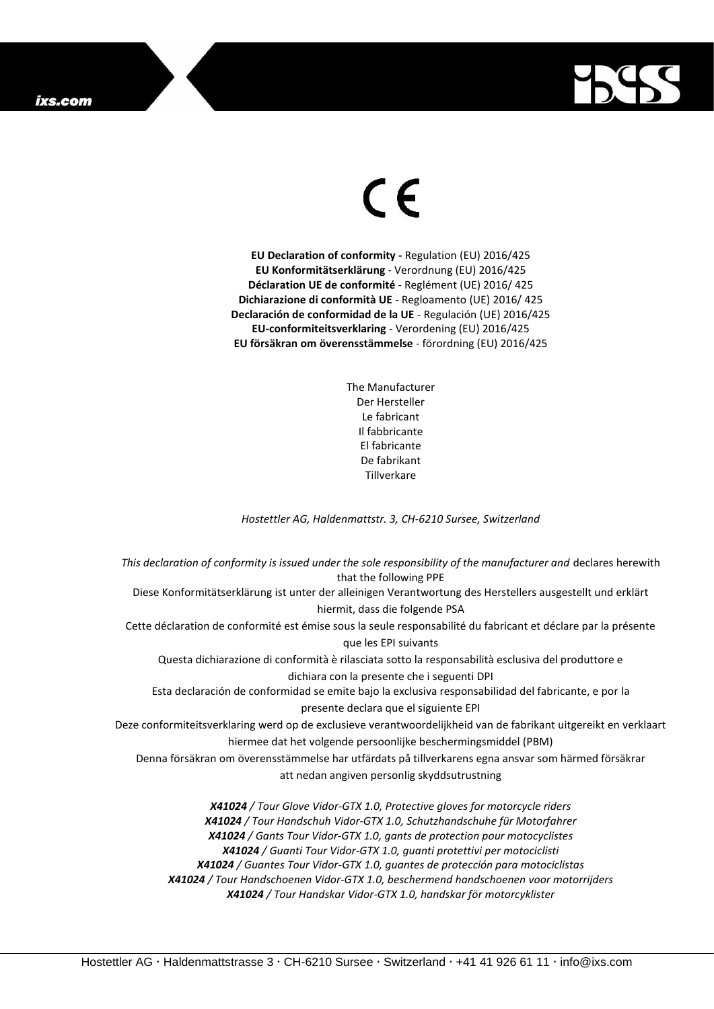

## $\epsilon$

**EU Declaration of conformity -** Regulation (EU) 2016/425 **EU Konformitätserklärung** - Verordnung (EU) 2016/425 **Déclaration UE de conformité** - Reglément (UE) 2016/ 425 **Dichiarazione di conformità UE** - Regloamento (UE) 2016/ 425 **Declaración de conformidad de la UE** - Regulación (UE) 2016/425 **EU-conformiteitsverklaring** - Verordening (EU) 2016/425 **EU försäkran om överensstämmelse** - förordning (EU) 2016/425

> The Manufacturer Der Hersteller Le fabricant Il fabbricante El fabricante De fabrikant **Tillverkare**

*Hostettler AG, Haldenmattstr. 3, CH-6210 Sursee, Switzerland*

*This declaration of conformity is issued under the sole responsibility of the manufacturer and* declares herewith that the following PPE Diese Konformitätserklärung ist unter der alleinigen Verantwortung des Herstellers ausgestellt und erklärt hiermit, dass die folgende PSA Cette déclaration de conformité est émise sous la seule responsabilité du fabricant et déclare par la présente que les EPI suivants Questa dichiarazione di conformità è rilasciata sotto la responsabilità esclusiva del produttore e dichiara con la presente che i seguenti DPI Esta declaración de conformidad se emite bajo la exclusiva responsabilidad del fabricante, e por la presente declara que el siguiente EPI Deze conformiteitsverklaring werd op de exclusieve verantwoordelijkheid van de fabrikant uitgereikt en verklaart hiermee dat het volgende persoonlijke beschermingsmiddel (PBM) Denna försäkran om överensstämmelse har utfärdats på tillverkarens egna ansvar som härmed försäkrar att nedan angiven personlig skyddsutrustning *X41024 / Tour Glove Vidor-GTX 1.0, Protective gloves for motorcycle riders X41024 / Tour Handschuh Vidor-GTX 1.0, Schutzhandschuhe für Motorfahrer X41024 / Gants Tour Vidor-GTX 1.0, gants de protection pour motocyclistes*

*X41024 / Guanti Tour Vidor-GTX 1.0, guanti protettivi per motociclisti X41024 / Guantes Tour Vidor-GTX 1.0, guantes de protección para motociclistas X41024 / Tour Handschoenen Vidor-GTX 1.0, beschermend handschoenen voor motorrijders X41024 / Tour Handskar Vidor-GTX 1.0, handskar för motorcyklister*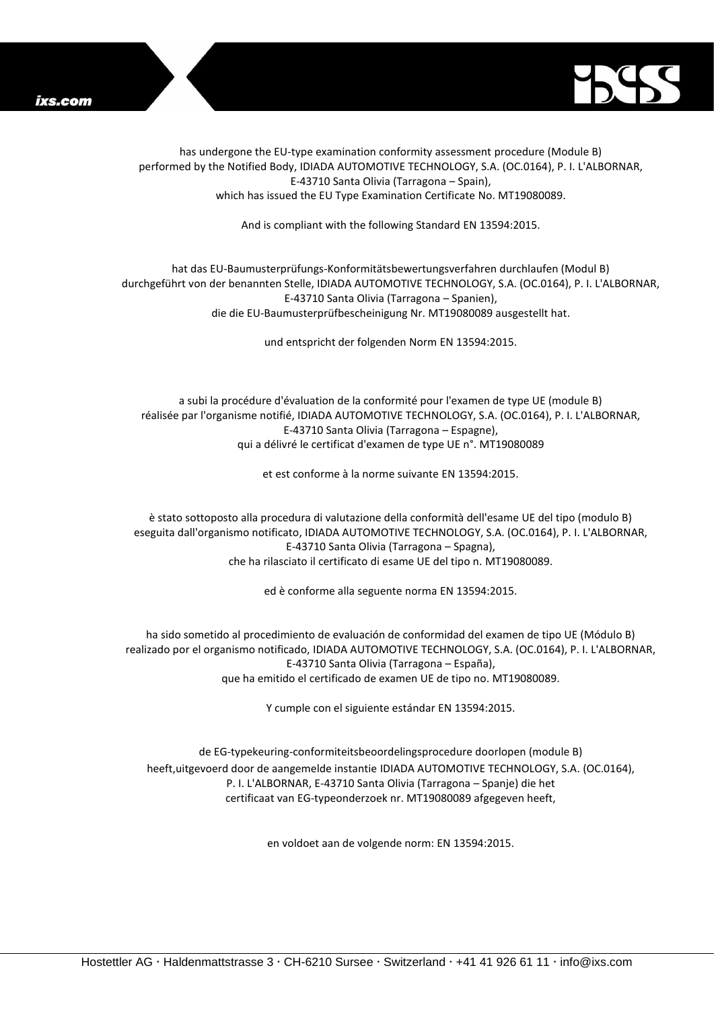



has undergone the EU-type examination conformity assessment procedure (Module B) performed by the Notified Body, IDIADA AUTOMOTIVE TECHNOLOGY, S.A. (OC.0164), P. I. L'ALBORNAR, E-43710 Santa Olivia (Tarragona – Spain), which has issued the EU Type Examination Certificate No. MT19080089.

And is compliant with the following Standard EN 13594:2015.

## hat das EU-Baumusterprüfungs-Konformitätsbewertungsverfahren durchlaufen (Modul B) durchgeführt von der benannten Stelle, IDIADA AUTOMOTIVE TECHNOLOGY, S.A. (OC.0164), P. I. L'ALBORNAR, E-43710 Santa Olivia (Tarragona – Spanien), die die EU-Baumusterprüfbescheinigung Nr. MT19080089 ausgestellt hat.

und entspricht der folgenden Norm EN 13594:2015.

a subi la procédure d'évaluation de la conformité pour l'examen de type UE (module B) réalisée par l'organisme notifié, IDIADA AUTOMOTIVE TECHNOLOGY, S.A. (OC.0164), P. I. L'ALBORNAR, E-43710 Santa Olivia (Tarragona – Espagne), qui a délivré le certificat d'examen de type UE n°. MT19080089

et est conforme à la norme suivante EN 13594:2015.

è stato sottoposto alla procedura di valutazione della conformità dell'esame UE del tipo (modulo B) eseguita dall'organismo notificato, IDIADA AUTOMOTIVE TECHNOLOGY, S.A. (OC.0164), P. I. L'ALBORNAR, E-43710 Santa Olivia (Tarragona – Spagna), che ha rilasciato il certificato di esame UE del tipo n. MT19080089.

ed è conforme alla seguente norma EN 13594:2015.

ha sido sometido al procedimiento de evaluación de conformidad del examen de tipo UE (Módulo B) realizado por el organismo notificado, IDIADA AUTOMOTIVE TECHNOLOGY, S.A. (OC.0164), P. I. L'ALBORNAR, E-43710 Santa Olivia (Tarragona – España), que ha emitido el certificado de examen UE de tipo no. MT19080089.

Y cumple con el siguiente estándar EN 13594:2015.

de EG-typekeuring-conformiteitsbeoordelingsprocedure doorlopen (module B) heeft,uitgevoerd door de aangemelde instantie IDIADA AUTOMOTIVE TECHNOLOGY, S.A. (OC.0164), P. I. L'ALBORNAR, E-43710 Santa Olivia (Tarragona – Spanje) die het certificaat van EG-typeonderzoek nr. MT19080089 afgegeven heeft,

en voldoet aan de volgende norm: EN 13594:2015.